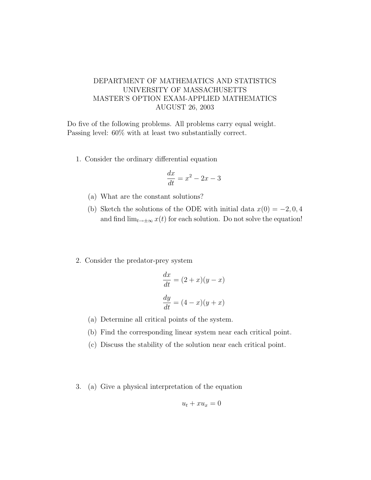## DEPARTMENT OF MATHEMATICS AND STATISTICS UNIVERSITY OF MASSACHUSETTS MASTER'S OPTION EXAM-APPLIED MATHEMATICS AUGUST 26, 2003

Do five of the following problems. All problems carry equal weight. Passing level: 60% with at least two substantially correct.

1. Consider the ordinary differential equation

$$
\frac{dx}{dt} = x^2 - 2x - 3
$$

- (a) What are the constant solutions?
- (b) Sketch the solutions of the ODE with initial data  $x(0) = -2, 0, 4$ and find  $\lim_{t\to\pm\infty}x(t)$  for each solution. Do not solve the equation!
- 2. Consider the predator-prey system

$$
\frac{dx}{dt} = (2+x)(y-x)
$$

$$
\frac{dy}{dt} = (4-x)(y+x)
$$

- (a) Determine all critical points of the system.
- (b) Find the corresponding linear system near each critical point.
- (c) Discuss the stability of the solution near each critical point.
- 3. (a) Give a physical interpretation of the equation

$$
u_t + x u_x = 0
$$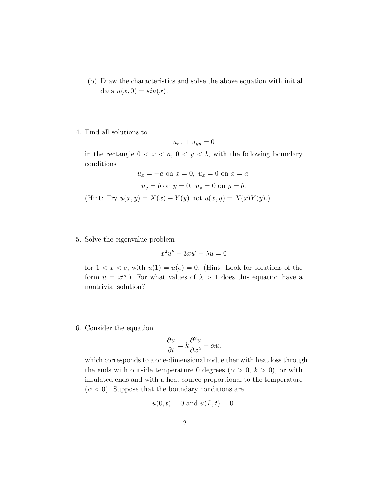- (b) Draw the characteristics and solve the above equation with initial data  $u(x, 0) = \sin(x)$ .
- 4. Find all solutions to

$$
u_{xx} + u_{yy} = 0
$$

in the rectangle  $0 < x < a, 0 < y < b$ , with the following boundary conditions

$$
u_x = -a
$$
 on  $x = 0$ ,  $u_x = 0$  on  $x = a$ .  
\n $u_y = b$  on  $y = 0$ ,  $u_y = 0$  on  $y = b$ .  
\n(Hint: Try  $u(x, y) = X(x) + Y(y)$  not  $u(x, y) = X(x)Y(y)$ .)

5. Solve the eigenvalue problem

$$
x^2u'' + 3xu' + \lambda u = 0
$$

for  $1 < x < e$ , with  $u(1) = u(e) = 0$ . (Hint: Look for solutions of the form  $u = x^m$ .) For what values of  $\lambda > 1$  does this equation have a nontrivial solution?

6. Consider the equation

$$
\frac{\partial u}{\partial t} = k \frac{\partial^2 u}{\partial x^2} - \alpha u,
$$

which corresponds to a one-dimensional rod, either with heat loss through the ends with outside temperature 0 degrees  $(\alpha > 0, k > 0)$ , or with insulated ends and with a heat source proportional to the temperature  $(\alpha < 0)$ . Suppose that the boundary conditions are

$$
u(0, t) = 0
$$
 and  $u(L, t) = 0$ .